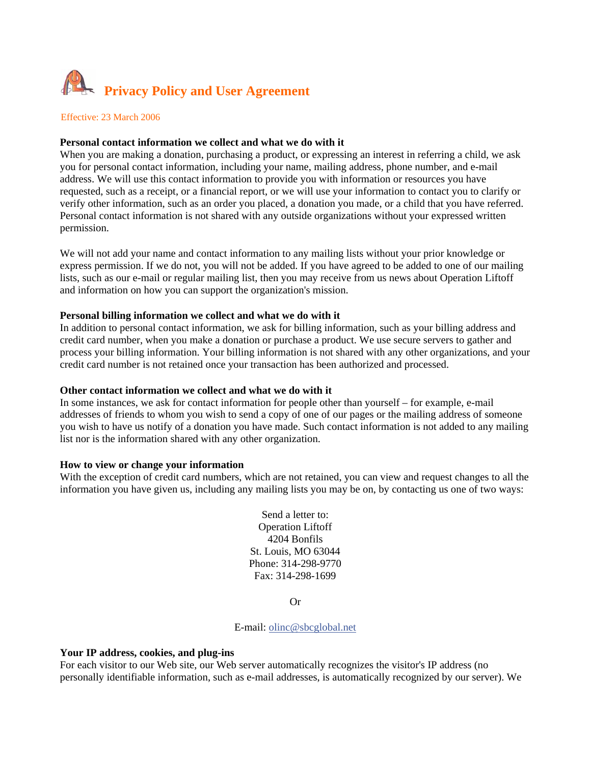

Effective: 23 March 2006

## **Personal contact information we collect and what we do with it**

When you are making a donation, purchasing a product, or expressing an interest in referring a child, we ask you for personal contact information, including your name, mailing address, phone number, and e-mail address. We will use this contact information to provide you with information or resources you have requested, such as a receipt, or a financial report, or we will use your information to contact you to clarify or verify other information, such as an order you placed, a donation you made, or a child that you have referred. Personal contact information is not shared with any outside organizations without your expressed written permission.

We will not add your name and contact information to any mailing lists without your prior knowledge or express permission. If we do not, you will not be added. If you have agreed to be added to one of our mailing lists, such as our e-mail or regular mailing list, then you may receive from us news about Operation Liftoff and information on how you can support the organization's mission.

## **Personal billing information we collect and what we do with it**

In addition to personal contact information, we ask for billing information, such as your billing address and credit card number, when you make a donation or purchase a product. We use secure servers to gather and process your billing information. Your billing information is not shared with any other organizations, and your credit card number is not retained once your transaction has been authorized and processed.

#### **Other contact information we collect and what we do with it**

In some instances, we ask for contact information for people other than yourself – for example, e-mail addresses of friends to whom you wish to send a copy of one of our pages or the mailing address of someone you wish to have us notify of a donation you have made. Such contact information is not added to any mailing list nor is the information shared with any other organization.

#### **How to view or change your information**

With the exception of credit card numbers, which are not retained, you can view and request changes to all the information you have given us, including any mailing lists you may be on, by contacting us one of two ways:

> Send a letter to: Operation Liftoff 4204 Bonfils St. Louis, MO 63044 Phone: 314-298-9770 Fax: 314-298-1699

> > Or

E-mail: olinc@sbcglobal.net

#### **Your IP address, cookies, and plug-ins**

For each visitor to our Web site, our Web server automatically recognizes the visitor's IP address (no personally identifiable information, such as e-mail addresses, is automatically recognized by our server). We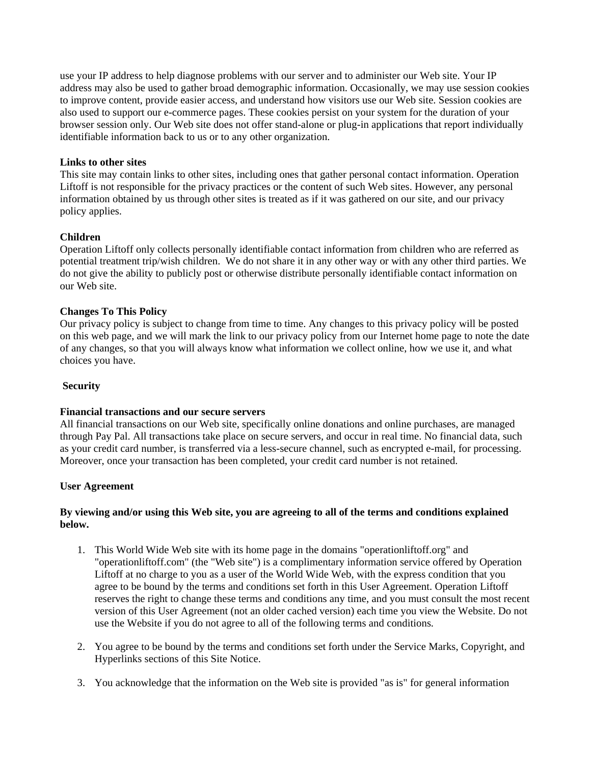use your IP address to help diagnose problems with our server and to administer our Web site. Your IP address may also be used to gather broad demographic information. Occasionally, we may use session cookies to improve content, provide easier access, and understand how visitors use our Web site. Session cookies are also used to support our e-commerce pages. These cookies persist on your system for the duration of your browser session only. Our Web site does not offer stand-alone or plug-in applications that report individually identifiable information back to us or to any other organization.

## **Links to other sites**

This site may contain links to other sites, including ones that gather personal contact information. Operation Liftoff is not responsible for the privacy practices or the content of such Web sites. However, any personal information obtained by us through other sites is treated as if it was gathered on our site, and our privacy policy applies.

## **Children**

Operation Liftoff only collects personally identifiable contact information from children who are referred as potential treatment trip/wish children. We do not share it in any other way or with any other third parties. We do not give the ability to publicly post or otherwise distribute personally identifiable contact information on our Web site.

## **Changes To This Policy**

Our privacy policy is subject to change from time to time. Any changes to this privacy policy will be posted on this web page, and we will mark the link to our privacy policy from our Internet home page to note the date of any changes, so that you will always know what information we collect online, how we use it, and what choices you have.

#### **Security**

#### **Financial transactions and our secure servers**

All financial transactions on our Web site, specifically online donations and online purchases, are managed through Pay Pal. All transactions take place on secure servers, and occur in real time. No financial data, such as your credit card number, is transferred via a less-secure channel, such as encrypted e-mail, for processing. Moreover, once your transaction has been completed, your credit card number is not retained.

#### **User Agreement**

## **By viewing and/or using this Web site, you are agreeing to all of the terms and conditions explained below.**

- 1. This World Wide Web site with its home page in the domains "operationliftoff.org" and "operationliftoff.com" (the "Web site") is a complimentary information service offered by Operation Liftoff at no charge to you as a user of the World Wide Web, with the express condition that you agree to be bound by the terms and conditions set forth in this User Agreement. Operation Liftoff reserves the right to change these terms and conditions any time, and you must consult the most recent version of this User Agreement (not an older cached version) each time you view the Website. Do not use the Website if you do not agree to all of the following terms and conditions.
- 2. You agree to be bound by the terms and conditions set forth under the Service Marks, Copyright, and Hyperlinks sections of this Site Notice.
- 3. You acknowledge that the information on the Web site is provided "as is" for general information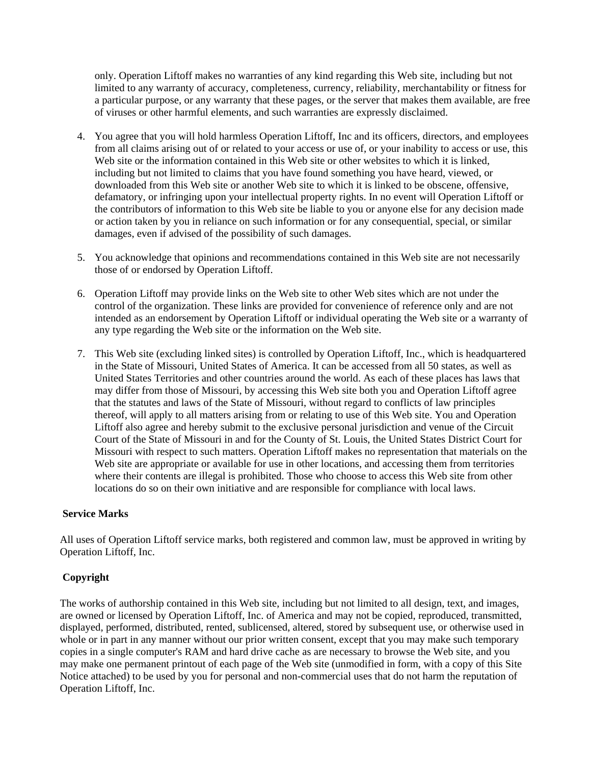only. Operation Liftoff makes no warranties of any kind regarding this Web site, including but not limited to any warranty of accuracy, completeness, currency, reliability, merchantability or fitness for a particular purpose, or any warranty that these pages, or the server that makes them available, are free of viruses or other harmful elements, and such warranties are expressly disclaimed.

- 4. You agree that you will hold harmless Operation Liftoff, Inc and its officers, directors, and employees from all claims arising out of or related to your access or use of, or your inability to access or use, this Web site or the information contained in this Web site or other websites to which it is linked, including but not limited to claims that you have found something you have heard, viewed, or downloaded from this Web site or another Web site to which it is linked to be obscene, offensive, defamatory, or infringing upon your intellectual property rights. In no event will Operation Liftoff or the contributors of information to this Web site be liable to you or anyone else for any decision made or action taken by you in reliance on such information or for any consequential, special, or similar damages, even if advised of the possibility of such damages.
- 5. You acknowledge that opinions and recommendations contained in this Web site are not necessarily those of or endorsed by Operation Liftoff.
- 6. Operation Liftoff may provide links on the Web site to other Web sites which are not under the control of the organization. These links are provided for convenience of reference only and are not intended as an endorsement by Operation Liftoff or individual operating the Web site or a warranty of any type regarding the Web site or the information on the Web site.
- 7. This Web site (excluding linked sites) is controlled by Operation Liftoff, Inc., which is headquartered in the State of Missouri, United States of America. It can be accessed from all 50 states, as well as United States Territories and other countries around the world. As each of these places has laws that may differ from those of Missouri, by accessing this Web site both you and Operation Liftoff agree that the statutes and laws of the State of Missouri, without regard to conflicts of law principles thereof, will apply to all matters arising from or relating to use of this Web site. You and Operation Liftoff also agree and hereby submit to the exclusive personal jurisdiction and venue of the Circuit Court of the State of Missouri in and for the County of St. Louis, the United States District Court for Missouri with respect to such matters. Operation Liftoff makes no representation that materials on the Web site are appropriate or available for use in other locations, and accessing them from territories where their contents are illegal is prohibited. Those who choose to access this Web site from other locations do so on their own initiative and are responsible for compliance with local laws.

## **Service Marks**

All uses of Operation Liftoff service marks, both registered and common law, must be approved in writing by Operation Liftoff, Inc.

## **Copyright**

The works of authorship contained in this Web site, including but not limited to all design, text, and images, are owned or licensed by Operation Liftoff, Inc. of America and may not be copied, reproduced, transmitted, displayed, performed, distributed, rented, sublicensed, altered, stored by subsequent use, or otherwise used in whole or in part in any manner without our prior written consent, except that you may make such temporary copies in a single computer's RAM and hard drive cache as are necessary to browse the Web site, and you may make one permanent printout of each page of the Web site (unmodified in form, with a copy of this Site Notice attached) to be used by you for personal and non-commercial uses that do not harm the reputation of Operation Liftoff, Inc.